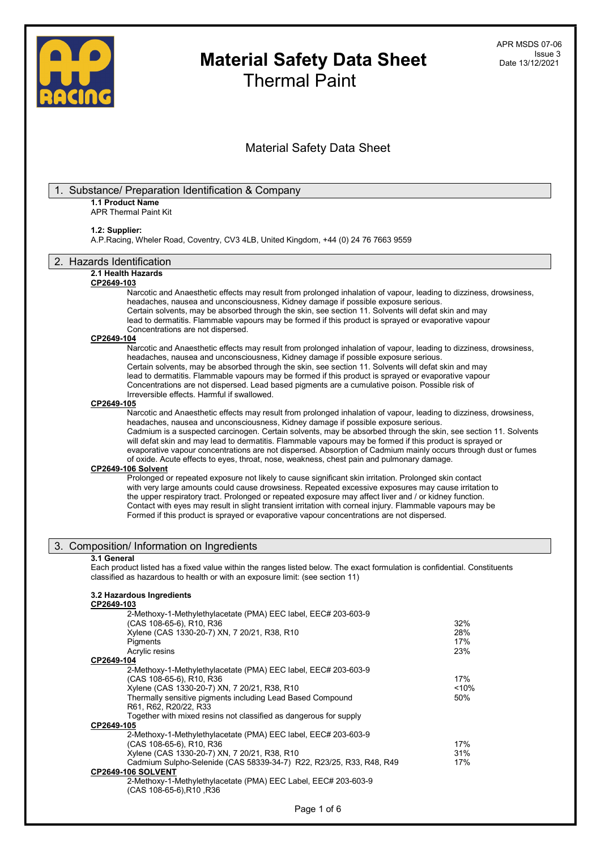

# Material Safety Data Sheet

### Substance/ Preparation Identification & Company 1.1 Product Name APR Thermal Paint Kit 1.2: Supplier: A.P.Racing, Wheler Road, Coventry, CV3 4LB, United Kingdom, +44 (0) 24 76 7663 9559 2. Hazards Identification 2.1 Health Hazards CP2649-103 Narcotic and Anaesthetic effects may result from prolonged inhalation of vapour, leading to dizziness, drowsiness, headaches, nausea and unconsciousness, Kidney damage if possible exposure serious. Certain solvents, may be absorbed through the skin, see section 11. Solvents will defat skin and may lead to dermatitis. Flammable vapours may be formed if this product is sprayed or evaporative vapour Concentrations are not dispersed. CP2649-104 Narcotic and Anaesthetic effects may result from prolonged inhalation of vapour, leading to dizziness, drowsiness, headaches, nausea and unconsciousness, Kidney damage if possible exposure serious. Certain solvents, may be absorbed through the skin, see section 11. Solvents will defat skin and may lead to dermatitis. Flammable vapours may be formed if this product is sprayed or evaporative vapour Concentrations are not dispersed. Lead based pigments are a cumulative poison. Possible risk of Irreversible effects. Harmful if swallowed. CP2649-105 Narcotic and Anaesthetic effects may result from prolonged inhalation of vapour, leading to dizziness, drowsiness, headaches, nausea and unconsciousness, Kidney damage if possible exposure serious. Cadmium is a suspected carcinogen. Certain solvents, may be absorbed through the skin, see section 11. Solvents will defat skin and may lead to dermatitis. Flammable vapours may be formed if this product is sprayed or evaporative vapour concentrations are not dispersed. Absorption of Cadmium mainly occurs through dust or fumes of oxide. Acute effects to eyes, throat, nose, weakness, chest pain and pulmonary damage. CP2649-106 Solvent Prolonged or repeated exposure not likely to cause significant skin irritation. Prolonged skin contact with very large amounts could cause drowsiness. Repeated excessive exposures may cause irritation to the upper respiratory tract. Prolonged or repeated exposure may affect liver and / or kidney function. Contact with eyes may result in slight transient irritation with corneal injury. Flammable vapours may be Formed if this product is sprayed or evaporative vapour concentrations are not dispersed. 3. Composition/ Information on Ingredients 3.1 General Each product listed has a fixed value within the ranges listed below. The exact formulation is confidential. Constituents classified as hazardous to health or with an exposure limit: (see section 11) 3.2 Hazardous Ingredients CP2649-103 2-Methoxy-1-Methylethylacetate (PMA) EEC label, EEC# 203-603-9 (CAS 108-65-6), R10, R36 32% Xylene (CAS 1330-20-7) XN, 7 20/21, R38, R10 28% Pigments 17% Acrylic resins 23% CP2649-104 2-Methoxy-1-Methylethylacetate (PMA) EEC label, EEC# 203-603-9 (CAS 108-65-6), R10, R36<br>Xvlene (CAS 1330-20-7) XN, 7 20/21, R38, R10 Xylene (CAS 1330-20-7) XN, 7 20/21, R38, R10<br>Thermally sensitive pigments including Lead Based Compound 50% Thermally sensitive pigments including Lead Based Compound R61, R62, R20/22, R33 Together with mixed resins not classified as dangerous for supply CP2649-105 2-Methoxy-1-Methylethylacetate (PMA) EEC label, EEC# 203-603-9 (CAS 108-65-6), R10, R36 17% Xylene (CAS 1330-20-7) XN, 7 20/21, R38, R10<br>Cadmium Sulpho-Selenide (CAS 58339-34-7) R22, R23/25, R33, R48, R49 37% Cadmium Sulpho-Selenide (CAS 58339-34-7) R22, R23/25, R33, R48, R49 CP2649-106 SOLVENT 2-Methoxy-1-Methylethylacetate (PMA) EEC Label, EEC# 203-603-9 (CAS 108-65-6),R10 ,R36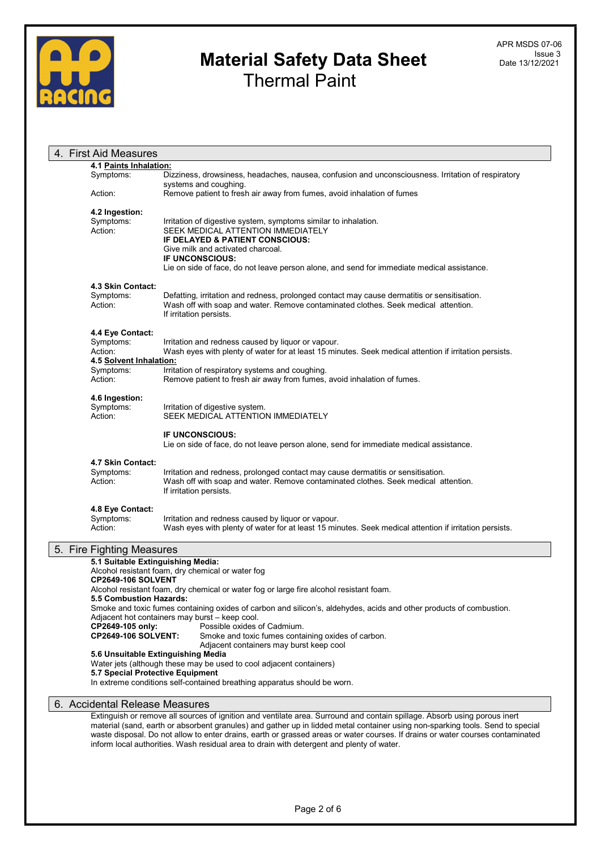

| 4. First Aid Measures             |                                                                                                                                |
|-----------------------------------|--------------------------------------------------------------------------------------------------------------------------------|
| 4.1 Paints Inhalation:            |                                                                                                                                |
| Symptoms:                         | Dizziness, drowsiness, headaches, nausea, confusion and unconsciousness. Irritation of respiratory                             |
|                                   | systems and coughing.                                                                                                          |
| Action:                           | Remove patient to fresh air away from fumes, avoid inhalation of fumes                                                         |
|                                   |                                                                                                                                |
| 4.2 Ingestion:                    |                                                                                                                                |
| Symptoms:                         | Irritation of digestive system, symptoms similar to inhalation.                                                                |
| Action:                           | SEEK MEDICAL ATTENTION IMMEDIATELY                                                                                             |
|                                   | IF DELAYED & PATIENT CONSCIOUS:                                                                                                |
|                                   | Give milk and activated charcoal.                                                                                              |
|                                   | <b>IF UNCONSCIOUS:</b>                                                                                                         |
|                                   | Lie on side of face, do not leave person alone, and send for immediate medical assistance.                                     |
| 4.3 Skin Contact:                 |                                                                                                                                |
| Symptoms:                         | Defatting, irritation and redness, prolonged contact may cause dermatitis or sensitisation.                                    |
| Action:                           | Wash off with soap and water. Remove contaminated clothes. Seek medical attention.                                             |
|                                   | If irritation persists.                                                                                                        |
|                                   |                                                                                                                                |
| 4.4 Eye Contact:                  |                                                                                                                                |
| Symptoms:                         | Irritation and redness caused by liquor or vapour.                                                                             |
| Action:                           | Wash eyes with plenty of water for at least 15 minutes. Seek medical attention if irritation persists.                         |
| 4.5 Solvent Inhalation:           |                                                                                                                                |
| Symptoms:                         | Irritation of respiratory systems and coughing.                                                                                |
| Action:                           | Remove patient to fresh air away from fumes, avoid inhalation of fumes.                                                        |
|                                   |                                                                                                                                |
| 4.6 Ingestion:                    |                                                                                                                                |
| Symptoms:                         | Irritation of digestive system.                                                                                                |
| Action:                           | SEEK MEDICAL ATTENTION IMMEDIATELY                                                                                             |
|                                   | <b>IF UNCONSCIOUS:</b>                                                                                                         |
|                                   |                                                                                                                                |
|                                   | Lie on side of face, do not leave person alone, send for immediate medical assistance.                                         |
| 4.7 Skin Contact:                 |                                                                                                                                |
| Symptoms:                         | Irritation and redness, prolonged contact may cause dermatitis or sensitisation.                                               |
| Action:                           | Wash off with soap and water. Remove contaminated clothes. Seek medical attention.                                             |
|                                   | If irritation persists.                                                                                                        |
|                                   |                                                                                                                                |
| 4.8 Eye Contact:                  |                                                                                                                                |
| Symptoms:                         | Irritation and redness caused by liquor or vapour.                                                                             |
| Action:                           | Wash eyes with plenty of water for at least 15 minutes. Seek medical attention if irritation persists.                         |
| 5. Fire Fighting Measures         |                                                                                                                                |
| 5.1 Suitable Extinguishing Media: |                                                                                                                                |
|                                   | Alcohol resistant foam, dry chemical or water fog                                                                              |
| <b>CP2649-106 SOLVENT</b>         |                                                                                                                                |
|                                   | Alcohol resistant foam, dry chemical or water fog or large fire alcohol resistant foam.                                        |
| 5.5 Combustion Hazards:           |                                                                                                                                |
|                                   | Smoke and toxic fumes containing oxides of carbon and silicon's, aldehydes, acids and other products of combustion.            |
|                                   | Adjacent hot containers may burst - keep cool.                                                                                 |
| CP2649-105 only:                  | Possible oxides of Cadmium.                                                                                                    |
| <b>CP2649-106 SOLVENT:</b>        | Smoke and toxic fumes containing oxides of carbon.                                                                             |
|                                   | Adjacent containers may burst keep cool<br>5.6 Unsuitable Extinguishing Media                                                  |
|                                   | Water jets (although these may be used to cool adjacent containers)                                                            |
| 5.7 Special Protective Equipment  |                                                                                                                                |
|                                   | In extreme conditions self-contained breathing apparatus should be worn.                                                       |
|                                   |                                                                                                                                |
| 6. Accidental Release Measures    |                                                                                                                                |
|                                   | Extinguish or remove all sources of ignition and ventilate area. Surround and contain spillage. Absorb using porous inert      |
|                                   | material (sand, earth or absorbent granules) and gather up in lidded metal container using non-sparking tools. Send to special |

material (sand, earth or absorbent granules) and gather up in lidded metal container using non-sparking tools. Send to special waste disposal. Do not allow to enter drains, earth or grassed areas or water courses. If drains or water courses contaminated inform local authorities. Wash residual area to drain with detergent and plenty of water.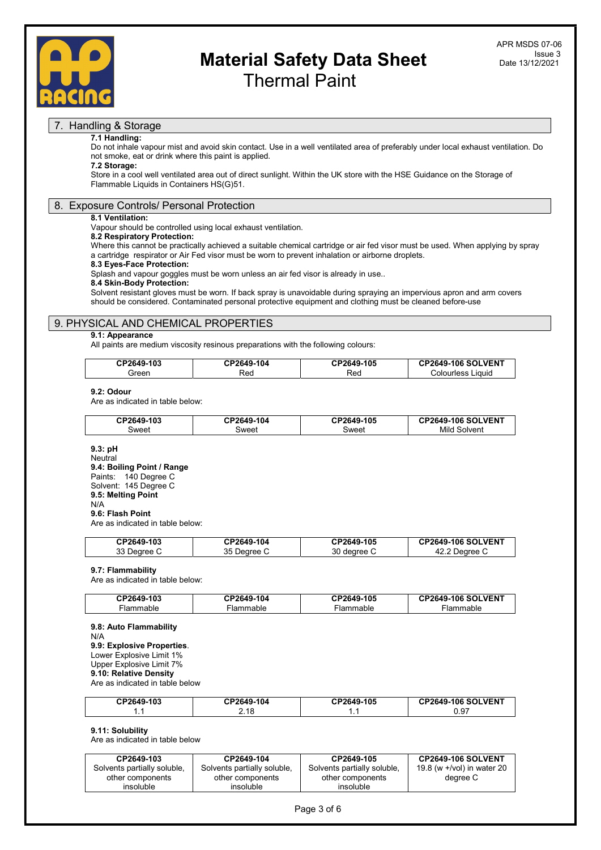

### 7. Handling & Storage

### 7.1 Handling:

Do not inhale vapour mist and avoid skin contact. Use in a well ventilated area of preferably under local exhaust ventilation. Do not smoke, eat or drink where this paint is applied.

# 7.2 Storage:

Store in a cool well ventilated area out of direct sunlight. Within the UK store with the HSE Guidance on the Storage of Flammable Liquids in Containers HS(G)51.

### 8. Exposure Controls/ Personal Protection

### 8.1 Ventilation:

Vapour should be controlled using local exhaust ventilation.

### 8.2 Respiratory Protection:

Where this cannot be practically achieved a suitable chemical cartridge or air fed visor must be used. When applying by spray a cartridge respirator or Air Fed visor must be worn to prevent inhalation or airborne droplets.

#### 8.3 Eyes-Face Protection:

Splash and vapour goggles must be worn unless an air fed visor is already in use..

### 8.4 Skin-Body Protection:

Solvent resistant gloves must be worn. If back spray is unavoidable during spraying an impervious apron and arm covers should be considered. Contaminated personal protective equipment and clothing must be cleaned before-use

### 9. PHYSICAL AND CHEMICAL PROPERTIES

### 9.1: Appearance

All paints are medium viscosity resinous preparations with the following colours:

| <b>CP2649-103</b> | CP2649-104 | <b>CP2649-105</b> | <b>CP2649-106 SOLVENT</b> |
|-------------------|------------|-------------------|---------------------------|
| ireen             | २ed        | Red               | .iauid<br>∴olouriess      |

#### 9.2: Odour

Are as indicated in table below:

| CP2649-103 | <b>CP2649-104</b> | CP2649-105 | <b>P2649-106 SOLVENT:</b> |
|------------|-------------------|------------|---------------------------|
| weetذ      | ิ<br>Sweet        | אפֿWeet    | Mild<br>' Solvent         |

#### 9.3: pH Neutral 9.4: Boiling Point / Range Paints: 140 Degree C Solvent: 145 Degree C 9.5: Melting Point N/A 9.6: Flash Point

Are as indicated in table below:

| CP2649-103            | CP2649-104   | CP2649-105        | <b>CP2649-106 SOLVENT</b> |
|-----------------------|--------------|-------------------|---------------------------|
| າາ.<br>Dearee '<br>ບບ | 35<br>Jearee | ົ<br>dearee<br>οU | Jearee                    |

### 9.7: Flammability

Are as indicated in table below:

| CP2649-103 | CP2649-104 | <b>CP2649-105</b> | <b>CP2649-106 SOLVENT</b> |
|------------|------------|-------------------|---------------------------|
| anıe       | mmahle     | ·iammable         |                           |

9.8: Auto Flammability N/A 9.9: Explosive Properties. Lower Explosive Limit 1% Upper Explosive Limit 7% 9.10: Relative Density Are as indicated in table below

| CP2649-103 | CP2649-104 | CP2649-105 | <b>CP2649-106 SOLVENT</b> |
|------------|------------|------------|---------------------------|
| . .        | 2.18       | . .        | U.Y1                      |

### 9.11: Solubility

Are as indicated in table below

| CP2649-103                  | CP2649-104                  | CP2649-105                  | <b>CP2649-106 SOLVENT</b>     |
|-----------------------------|-----------------------------|-----------------------------|-------------------------------|
| Solvents partially soluble, | Solvents partially soluble, | Solvents partially soluble. | 19.8 (w $+$ /vol) in water 20 |
| other components            | other components            | other components            | dearee C                      |
| insoluble                   | insoluble                   | insoluble                   |                               |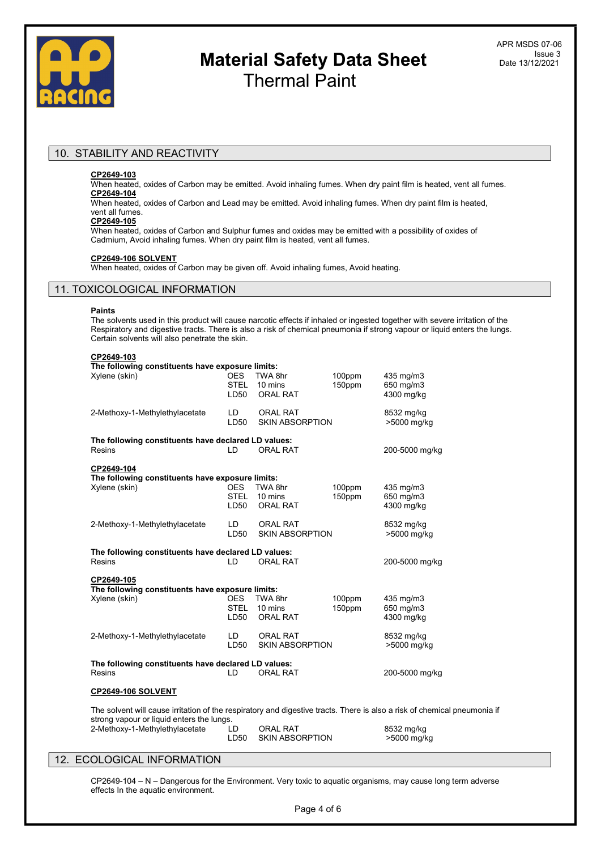

### 10. STABILITY AND REACTIVITY

### CP2649-103

When heated, oxides of Carbon may be emitted. Avoid inhaling fumes. When dry paint film is heated, vent all fumes. CP2649-104

When heated, oxides of Carbon and Lead may be emitted. Avoid inhaling fumes. When dry paint film is heated, vent all fumes.

### CP2649-105

When heated, oxides of Carbon and Sulphur fumes and oxides may be emitted with a possibility of oxides of Cadmium, Avoid inhaling fumes. When dry paint film is heated, vent all fumes.

### CP2649-106 SOLVENT

When heated, oxides of Carbon may be given off. Avoid inhaling fumes, Avoid heating.

### 11. TOXICOLOGICAL INFORMATION

#### Paints

The solvents used in this product will cause narcotic effects if inhaled or ingested together with severe irritation of the Respiratory and digestive tracts. There is also a risk of chemical pneumonia if strong vapour or liquid enters the lungs. Certain solvents will also penetrate the skin.

### CP2649-103

| The following constituents have exposure limits:                                                                                                                      |                                   |                                           |                  |                                      |
|-----------------------------------------------------------------------------------------------------------------------------------------------------------------------|-----------------------------------|-------------------------------------------|------------------|--------------------------------------|
| Xylene (skin)                                                                                                                                                         | <b>OES</b><br><b>STEL</b><br>LD50 | TWA 8hr<br>10 mins<br><b>ORAL RAT</b>     | 100ppm<br>150ppm | 435 mg/m3<br>650 mg/m3<br>4300 mg/kg |
| 2-Methoxy-1-Methylethylacetate                                                                                                                                        | LD.<br>LD50                       | <b>ORAL RAT</b><br><b>SKIN ABSORPTION</b> |                  | 8532 mg/kg<br>>5000 mg/kg            |
| The following constituents have declared LD values:<br><b>Resins</b>                                                                                                  | LD                                | <b>ORAL RAT</b>                           |                  | 200-5000 mg/kg                       |
| CP2649-104<br>The following constituents have exposure limits:<br>Xylene (skin)                                                                                       | <b>OES</b><br><b>STEL</b><br>LD50 | TWA 8hr<br>10 mins<br><b>ORAL RAT</b>     | 100ppm<br>150ppm | 435 mg/m3<br>650 mg/m3<br>4300 mg/kg |
| 2-Methoxy-1-Methylethylacetate                                                                                                                                        | LD.<br>LD50                       | <b>ORAL RAT</b><br><b>SKIN ABSORPTION</b> |                  | 8532 mg/kg<br>>5000 mg/kg            |
| The following constituents have declared LD values:<br><b>Resins</b>                                                                                                  | LD                                | <b>ORAL RAT</b>                           |                  | 200-5000 mg/kg                       |
| CP2649-105<br>The following constituents have exposure limits:<br>Xylene (skin)                                                                                       | <b>OES</b><br><b>STEL</b><br>LD50 | TWA 8hr<br>10 mins<br><b>ORAL RAT</b>     | 100ppm<br>150ppm | 435 mg/m3<br>650 mg/m3<br>4300 mg/kg |
| 2-Methoxy-1-Methylethylacetate                                                                                                                                        | LD.<br>LD50                       | <b>ORAL RAT</b><br><b>SKIN ABSORPTION</b> |                  | 8532 mg/kg<br>>5000 mg/kg            |
| The following constituents have declared LD values:<br><b>Resins</b>                                                                                                  | LD                                | <b>ORAL RAT</b>                           |                  | 200-5000 mg/kg                       |
| <b>CP2649-106 SOLVENT</b>                                                                                                                                             |                                   |                                           |                  |                                      |
| The solvent will cause irritation of the respiratory and digestive tracts. There is also a risk of chemical pneumonia if<br>strong vapour or liquid enters the lungs. |                                   |                                           |                  |                                      |
| 2-Methoxy-1-Methylethylacetate                                                                                                                                        | LD<br>LD50                        | <b>ORAL RAT</b><br><b>SKIN ABSORPTION</b> |                  | 8532 mg/kg<br>>5000 mg/kg            |

### 12. ECOLOGICAL INFORMATION

CP2649-104 – N – Dangerous for the Environment. Very toxic to aquatic organisms, may cause long term adverse effects In the aquatic environment.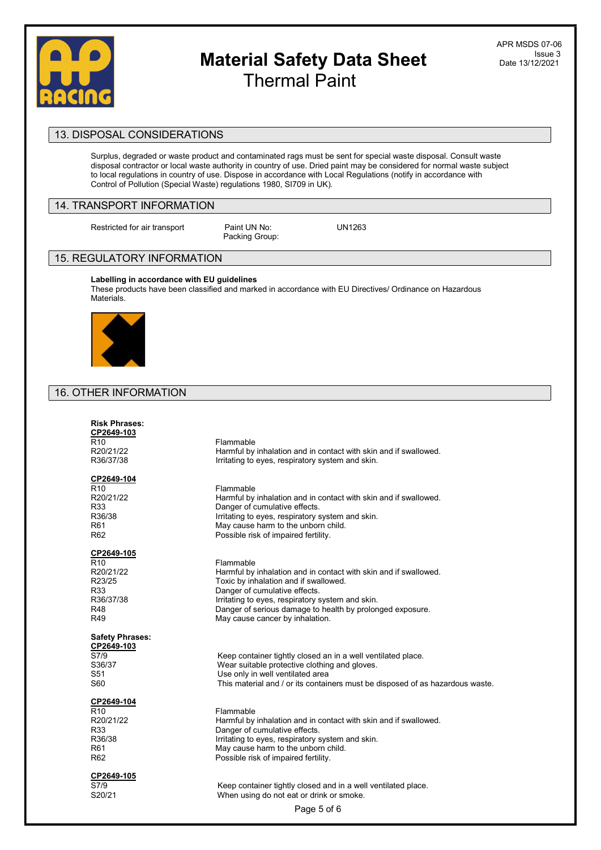

APR MSDS 07-06 Issue 3 Date 13/12/2021

### 13. DISPOSAL CONSIDERATIONS

Surplus, degraded or waste product and contaminated rags must be sent for special waste disposal. Consult waste disposal contractor or local waste authority in country of use. Dried paint may be considered for normal waste subject to local regulations in country of use. Dispose in accordance with Local Regulations (notify in accordance with Control of Pollution (Special Waste) regulations 1980, SI709 in UK).

### 14. TRANSPORT INFORMATION

Restricted for air transport Paint UN No: UN1263

Packing Group:

### 15. REGULATORY INFORMATION

Labelling in accordance with EU guidelines These products have been classified and marked in accordance with EU Directives/ Ordinance on Hazardous Materials.



# 16. OTHER INFORMATION

| <b>Risk Phrases:</b><br>CP2649-103<br>R <sub>10</sub><br>R20/21/22<br>R36/37/38        | Flammable<br>Harmful by inhalation and in contact with skin and if swallowed.<br>Irritating to eyes, respiratory system and skin.                                                                                                                                                                           |
|----------------------------------------------------------------------------------------|-------------------------------------------------------------------------------------------------------------------------------------------------------------------------------------------------------------------------------------------------------------------------------------------------------------|
| CP2649-104<br>R <sub>10</sub><br>R20/21/22<br>R33<br>R36/38<br>R61<br>R <sub>62</sub>  | Flammable<br>Harmful by inhalation and in contact with skin and if swallowed.<br>Danger of cumulative effects.<br>Irritating to eyes, respiratory system and skin.<br>May cause harm to the unborn child.<br>Possible risk of impaired fertility.                                                           |
| CP2649-105<br>R <sub>10</sub><br>R20/21/22<br>R23/25<br>R33<br>R36/37/38<br>R48<br>R49 | Flammable<br>Harmful by inhalation and in contact with skin and if swallowed.<br>Toxic by inhalation and if swallowed.<br>Danger of cumulative effects.<br>Irritating to eyes, respiratory system and skin.<br>Danger of serious damage to health by prolonged exposure.<br>May cause cancer by inhalation. |
| <b>Safety Phrases:</b><br>CP2649-103<br>S7/9<br>S36/37<br>S51<br>S60                   | Keep container tightly closed an in a well ventilated place.<br>Wear suitable protective clothing and gloves.<br>Use only in well ventilated area<br>This material and / or its containers must be disposed of as hazardous waste.                                                                          |
| CP2649-104<br>R <sub>10</sub><br>R20/21/22<br>R33<br>R36/38<br>R61<br>R <sub>62</sub>  | Flammable<br>Harmful by inhalation and in contact with skin and if swallowed.<br>Danger of cumulative effects.<br>Irritating to eyes, respiratory system and skin.<br>May cause harm to the unborn child.<br>Possible risk of impaired fertility.                                                           |
| CP2649-105<br>S7/9<br>S20/21                                                           | Keep container tightly closed and in a well ventilated place.<br>When using do not eat or drink or smoke.<br>Page 5 of 6                                                                                                                                                                                    |
|                                                                                        |                                                                                                                                                                                                                                                                                                             |